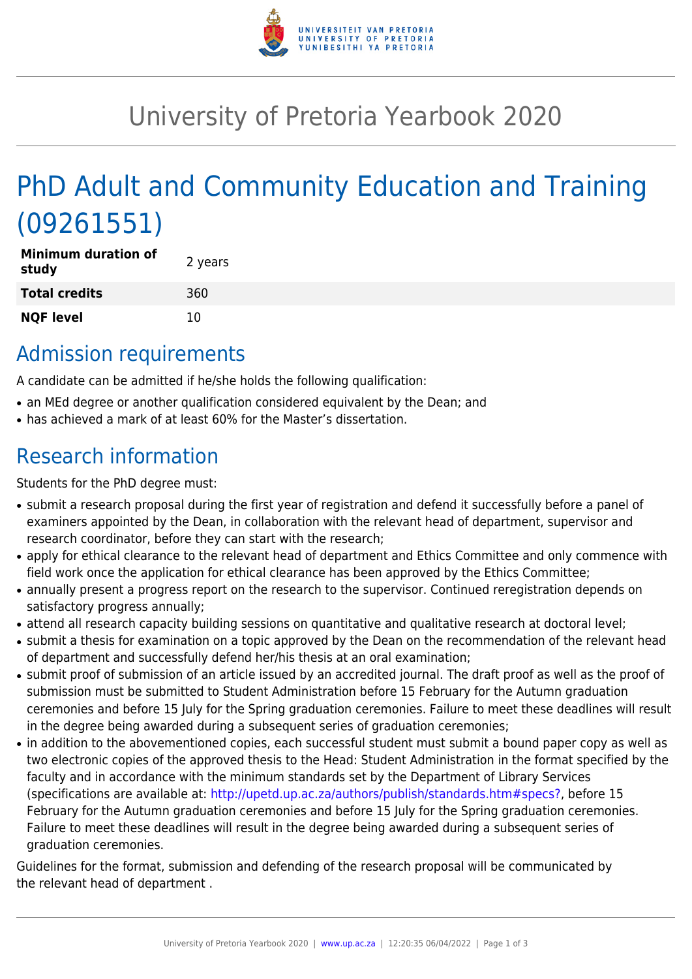

## University of Pretoria Yearbook 2020

# PhD Adult and Community Education and Training (09261551)

| <b>Minimum duration of</b><br>study | 2 years |
|-------------------------------------|---------|
| <b>Total credits</b>                | 360     |
| <b>NQF level</b>                    | 10      |

#### Admission requirements

A candidate can be admitted if he/she holds the following qualification:

- an MEd degree or another qualification considered equivalent by the Dean; and
- has achieved a mark of at least 60% for the Master's dissertation.

## Research information

Students for the PhD degree must:

- submit a research proposal during the first year of registration and defend it successfully before a panel of examiners appointed by the Dean, in collaboration with the relevant head of department, supervisor and research coordinator, before they can start with the research;
- apply for ethical clearance to the relevant head of department and Ethics Committee and only commence with field work once the application for ethical clearance has been approved by the Ethics Committee;
- annually present a progress report on the research to the supervisor. Continued reregistration depends on satisfactory progress annually;
- attend all research capacity building sessions on quantitative and qualitative research at doctoral level;
- submit a thesis for examination on a topic approved by the Dean on the recommendation of the relevant head of department and successfully defend her/his thesis at an oral examination;
- submit proof of submission of an article issued by an accredited journal. The draft proof as well as the proof of submission must be submitted to Student Administration before 15 February for the Autumn graduation ceremonies and before 15 July for the Spring graduation ceremonies. Failure to meet these deadlines will result in the degree being awarded during a subsequent series of graduation ceremonies;
- in addition to the abovementioned copies, each successful student must submit a bound paper copy as well as two electronic copies of the approved thesis to the Head: Student Administration in the format specified by the faculty and in accordance with the minimum standards set by the Department of Library Services (specifications are available at: [http://upetd.up.ac.za/authors/publish/standards.htm#specs?,](http://upetd.up.ac.za/authors/publish/standards.htm#specs) before 15 February for the Autumn graduation ceremonies and before 15 July for the Spring graduation ceremonies. Failure to meet these deadlines will result in the degree being awarded during a subsequent series of graduation ceremonies.

Guidelines for the format, submission and defending of the research proposal will be communicated by the relevant head of department .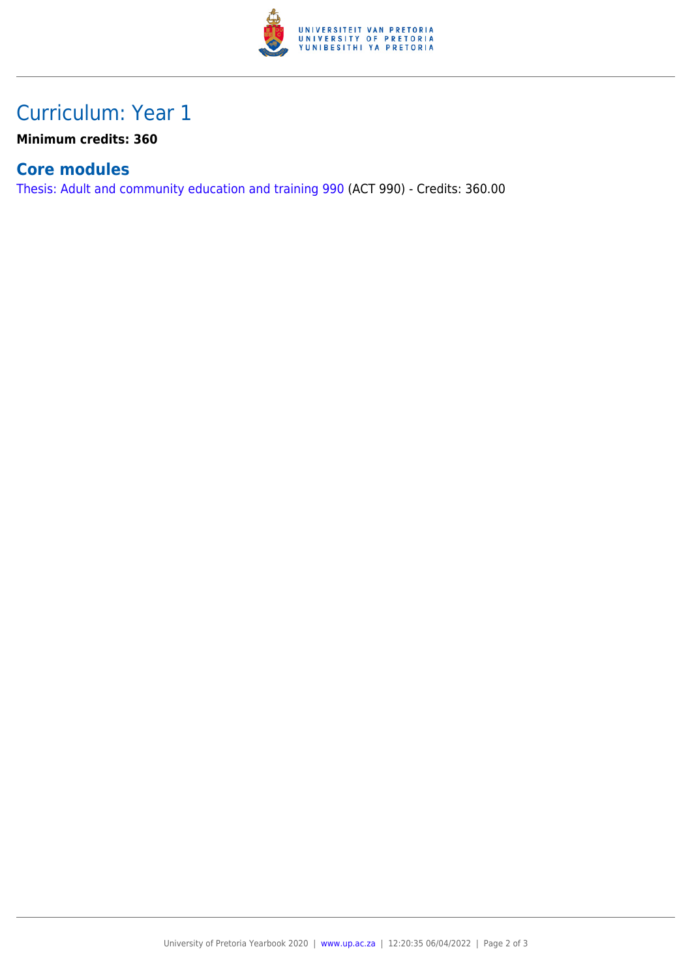

### Curriculum: Year 1

**Minimum credits: 360**

#### **Core modules**

[Thesis: Adult and community education and training 990](https://www.up.ac.za/yearbooks/2020/modules/view/ACT 990) (ACT 990) - Credits: 360.00